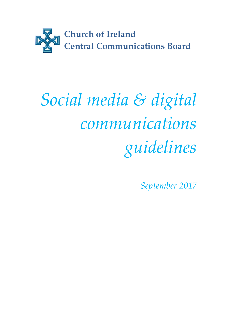

# Social media & digital communications guidelines

September 2017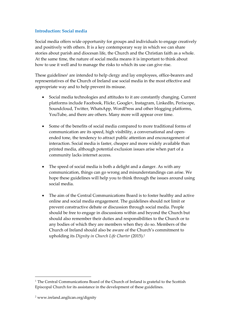## Introduction: Social media

Social media offers wide opportunity for groups and individuals to engage creatively and positively with others. It is a key contemporary way in which we can share stories about parish and diocesan life, the Church and the Christian faith as a whole. At the same time, the nature of social media means it is important to think about how to use it well and to manage the risks to which its use can give rise.

These guidelines<sup>1</sup> are intended to help clergy and lay employees, office-bearers and representatives of the Church of Ireland use social media in the most effective and appropriate way and to help prevent its misuse.

- Social media technologies and attitudes to it are constantly changing. Current platforms include Facebook, Flickr, Google+, Instagram, LinkedIn, Periscope, Soundcloud, Twitter, WhatsApp, WordPress and other blogging platforms, YouTube, and there are others. Many more will appear over time.
- Some of the benefits of social media compared to more traditional forms of communication are its speed, high visibility, a conversational and openended tone, the tendency to attract public attention and encouragement of interaction. Social media is faster, cheaper and more widely available than printed media, although potential exclusion issues arise when part of a community lacks internet access.
- The speed of social media is both a delight and a danger. As with any communication, things can go wrong and misunderstandings can arise. We hope these guidelines will help you to think through the issues around using social media.
- The aim of the Central Communications Board is to foster healthy and active online and social media engagement. The guidelines should not limit or prevent constructive debate or discussion through social media. People should be free to engage in discussions within and beyond the Church but should also remember their duties and responsibilities to the Church or to any bodies of which they are members when they do so. Members of the Church of Ireland should also be aware of the Church's commitment to upholding its Dignity in Church Life Charter (2015).<sup>2</sup>

-

<sup>&</sup>lt;sup>1</sup> The Central Communications Board of the Church of Ireland is grateful to the Scottish Episcopal Church for its assistance in the development of these guidelines.

<sup>2</sup> www.ireland.anglican.org/dignity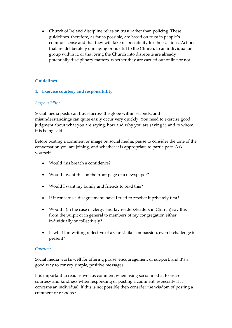Church of Ireland discipline relies on trust rather than policing. These guidelines, therefore, as far as possible, are based on trust in people's common sense and that they will take responsibility for their actions. Actions that are deliberately damaging or hurtful to the Church, to an individual or group within it, or that bring the Church into disrepute are already potentially disciplinary matters, whether they are carried out online or not.

# Guidelines

# 1. Exercise courtesy and responsibility

## Responsibility

Social media posts can travel across the globe within seconds, and misunderstandings can quite easily occur very quickly. You need to exercise good judgment about what you are saying, how and why you are saying it, and to whom it is being said.

Before posting a comment or image on social media, pause to consider the tone of the conversation you are joining, and whether it is appropriate to participate. Ask yourself:

- Would this breach a confidence?
- Would I want this on the front page of a newspaper?
- Would I want my family and friends to read this?
- If it concerns a disagreement, have I tried to resolve it privately first?
- Would I (in the case of clergy and lay readers/leaders in Church) say this from the pulpit or in general to members of my congregation either individually or collectively?
- Is what I'm writing reflective of a Christ-like compassion, even if challenge is present?

## **Courtesy**

Social media works well for offering praise, encouragement or support, and it's a good way to convey simple, positive messages.

It is important to read as well as comment when using social media. Exercise courtesy and kindness when responding or posting a comment, especially if it concerns an individual. If this is not possible then consider the wisdom of posting a comment or response.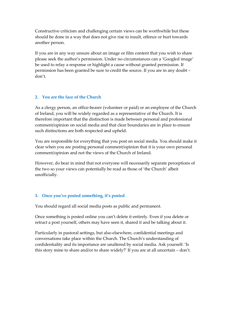Constructive criticism and challenging certain views can be worthwhile but these should be done in a way that does not give rise to insult, offence or hurt towards another person.

If you are in any way unsure about an image or film content that you wish to share please seek the author's permission. Under no circumstances can a 'Googled image' be used to relay a response or highlight a cause without granted permission. If permission has been granted be sure to credit the source. If you are in any doubt – don't.

#### 2. You are the face of the Church

As a clergy person, an office-bearer (volunteer or paid) or an employee of the Church of Ireland, you will be widely regarded as a representative of the Church. It is therefore important that the distinction is made between personal and professional comment/opinion on social media and that clear boundaries are in place to ensure such distinctions are both respected and upheld.

You are responsible for everything that you post on social media. You should make it clear when you are posting personal comment/opinion that it is your own personal comment/opinion and not the views of the Church of Ireland.

However, do bear in mind that not everyone will necessarily separate perceptions of the two so your views can potentially be read as those of 'the Church' albeit unofficially.

## 3. Once you've posted something, it's posted

You should regard all social media posts as public and permanent.

Once something is posted online you can't delete it entirely. Even if you delete or retract a post yourself, others may have seen it, shared it and be talking about it.

Particularly in pastoral settings, but also elsewhere, confidential meetings and conversations take place within the Church. The Church's understanding of confidentiality and its importance are unaltered by social media. Ask yourself: 'Is this story mine to share and/or to share widely?' If you are at all uncertain – don't.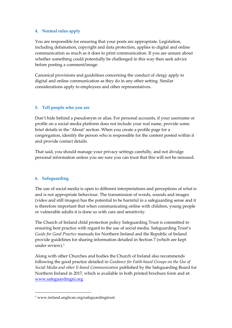## 4. Normal rules apply

You are responsible for ensuring that your posts are appropriate. Legislation, including defamation, copyright and data protection, applies to digital and online communication as much as it does to print communication. If you are unsure about whether something could potentially be challenged in this way then seek advice before posting a comment/image.

Canonical provisions and guidelines concerning the conduct of clergy apply to digital and online communication as they do in any other setting. Similar considerations apply to employees and other representatives.

#### 5. Tell people who you are

Don't hide behind a pseudonym or alias. For personal accounts, if your username or profile on a social media platform does not include your real name, provide some brief details in the 'About' section. When you create a profile page for a congregation, identify the person who is responsible for the content posted within it and provide contact details.

That said, you should manage your privacy settings carefully, and not divulge personal information unless you are sure you can trust that this will not be misused.

## 6. Safeguarding

-

The use of social media is open to different interpretations and perceptions of what is and is not appropriate behaviour. The transmission of words, sounds and images (video and still images) has the potential to be harmful in a safeguarding sense and it is therefore important that when communicating online with children, young people or vulnerable adults it is done so with care and sensitivity.

The Church of Ireland child protection policy Safeguarding Trust is committed to ensuring best practice with regard to the use of social media. Safeguarding Trust's Guide for Good Practice manuals for Northern Ireland and the Republic of Ireland provide guidelines for sharing information detailed in Section 7 (which are kept under review).<sup>3</sup>

Along with other Churches and bodies the Church of Ireland also recommends following the good practice detailed in Guidance for Faith-based Groups on the Use of Social Media and other E-based Communication published by the Safeguarding Board for Northern Ireland in 2017, which is available in both printed brochure form and at: www.safeguardingni.org

<sup>3</sup> www.ireland.anglican.org/safeguardingtrust